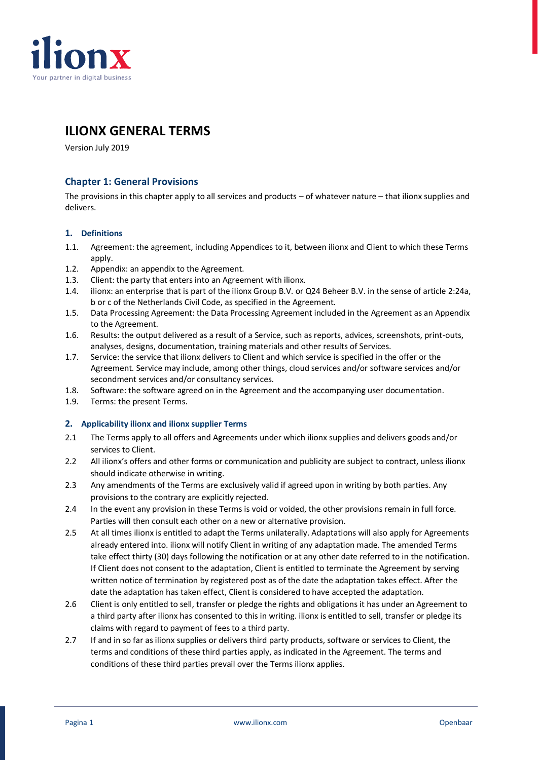

# **ILIONX GENERAL TERMS**

Version July 2019

# **Chapter 1: General Provisions**

The provisions in this chapter apply to all services and products – of whatever nature – that ilionx supplies and delivers.

# **1. Definitions**

- 1.1. Agreement: the agreement, including Appendices to it, between ilionx and Client to which these Terms apply.
- 1.2. Appendix: an appendix to the Agreement.
- 1.3. Client: the party that enters into an Agreement with ilionx.
- 1.4. ilionx: an enterprise that is part of the ilionx Group B.V. or Q24 Beheer B.V. in the sense of article 2:24a, b or c of the Netherlands Civil Code, as specified in the Agreement.
- 1.5. Data Processing Agreement: the Data Processing Agreement included in the Agreement as an Appendix to the Agreement.
- 1.6. Results: the output delivered as a result of a Service, such as reports, advices, screenshots, print-outs, analyses, designs, documentation, training materials and other results of Services.
- 1.7. Service: the service that ilionx delivers to Client and which service is specified in the offer or the Agreement. Service may include, among other things, cloud services and/or software services and/or secondment services and/or consultancy services.
- 1.8. Software: the software agreed on in the Agreement and the accompanying user documentation.
- 1.9. Terms: the present Terms.

# **2. Applicability ilionx and ilionx supplier Terms**

- 2.1 The Terms apply to all offers and Agreements under which ilionx supplies and delivers goods and/or services to Client.
- 2.2 All ilionx's offers and other forms or communication and publicity are subject to contract, unless ilionx should indicate otherwise in writing.
- 2.3 Any amendments of the Terms are exclusively valid if agreed upon in writing by both parties. Any provisions to the contrary are explicitly rejected.
- 2.4 In the event any provision in these Terms is void or voided, the other provisions remain in full force. Parties will then consult each other on a new or alternative provision.
- 2.5 At all times ilionx is entitled to adapt the Terms unilaterally. Adaptations will also apply for Agreements already entered into. ilionx will notify Client in writing of any adaptation made. The amended Terms take effect thirty (30) days following the notification or at any other date referred to in the notification. If Client does not consent to the adaptation, Client is entitled to terminate the Agreement by serving written notice of termination by registered post as of the date the adaptation takes effect. After the date the adaptation has taken effect, Client is considered to have accepted the adaptation.
- 2.6 Client is only entitled to sell, transfer or pledge the rights and obligations it has under an Agreement to a third party after ilionx has consented to this in writing. ilionx is entitled to sell, transfer or pledge its claims with regard to payment of fees to a third party.
- 2.7 If and in so far as ilionx supplies or delivers third party products, software or services to Client, the terms and conditions of these third parties apply, as indicated in the Agreement. The terms and conditions of these third parties prevail over the Terms ilionx applies.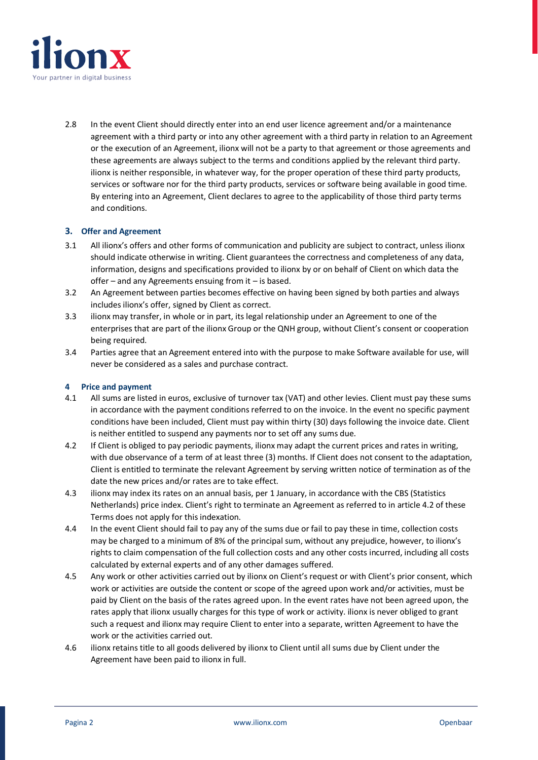

2.8 In the event Client should directly enter into an end user licence agreement and/or a maintenance agreement with a third party or into any other agreement with a third party in relation to an Agreement or the execution of an Agreement, ilionx will not be a party to that agreement or those agreements and these agreements are always subject to the terms and conditions applied by the relevant third party. ilionx is neither responsible, in whatever way, for the proper operation of these third party products, services or software nor for the third party products, services or software being available in good time. By entering into an Agreement, Client declares to agree to the applicability of those third party terms and conditions.

# **3. Offer and Agreement**

- 3.1 All ilionx's offers and other forms of communication and publicity are subject to contract, unless ilionx should indicate otherwise in writing. Client guarantees the correctness and completeness of any data, information, designs and specifications provided to ilionx by or on behalf of Client on which data the offer – and any Agreements ensuing from it – is based.
- 3.2 An Agreement between parties becomes effective on having been signed by both parties and always includes ilionx's offer, signed by Client as correct.
- 3.3 ilionx may transfer, in whole or in part, its legal relationship under an Agreement to one of the enterprises that are part of the ilionx Group or the QNH group, without Client's consent or cooperation being required.
- 3.4 Parties agree that an Agreement entered into with the purpose to make Software available for use, will never be considered as a sales and purchase contract.

# **4 Price and payment**

- 4.1 All sums are listed in euros, exclusive of turnover tax (VAT) and other levies. Client must pay these sums in accordance with the payment conditions referred to on the invoice. In the event no specific payment conditions have been included, Client must pay within thirty (30) days following the invoice date. Client is neither entitled to suspend any payments nor to set off any sums due.
- 4.2 If Client is obliged to pay periodic payments, ilionx may adapt the current prices and rates in writing, with due observance of a term of at least three (3) months. If Client does not consent to the adaptation, Client is entitled to terminate the relevant Agreement by serving written notice of termination as of the date the new prices and/or rates are to take effect.
- 4.3 ilionx may index its rates on an annual basis, per 1 January, in accordance with the CBS (Statistics Netherlands) price index. Client's right to terminate an Agreement as referred to in article 4.2 of these Terms does not apply for this indexation.
- 4.4 In the event Client should fail to pay any of the sums due or fail to pay these in time, collection costs may be charged to a minimum of 8% of the principal sum, without any prejudice, however, to ilionx's rights to claim compensation of the full collection costs and any other costs incurred, including all costs calculated by external experts and of any other damages suffered.
- 4.5 Any work or other activities carried out by ilionx on Client's request or with Client's prior consent, which work or activities are outside the content or scope of the agreed upon work and/or activities, must be paid by Client on the basis of the rates agreed upon. In the event rates have not been agreed upon, the rates apply that ilionx usually charges for this type of work or activity. ilionx is never obliged to grant such a request and ilionx may require Client to enter into a separate, written Agreement to have the work or the activities carried out.
- 4.6 ilionx retains title to all goods delivered by ilionx to Client until all sums due by Client under the Agreement have been paid to ilionx in full.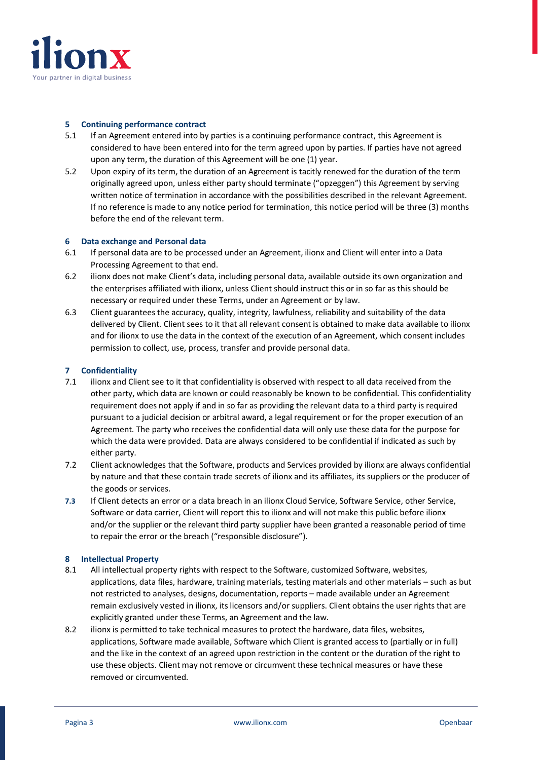

#### **5 Continuing performance contract**

- 5.1 If an Agreement entered into by parties is a continuing performance contract, this Agreement is considered to have been entered into for the term agreed upon by parties. If parties have not agreed upon any term, the duration of this Agreement will be one (1) year.
- 5.2 Upon expiry of its term, the duration of an Agreement is tacitly renewed for the duration of the term originally agreed upon, unless either party should terminate ("opzeggen") this Agreement by serving written notice of termination in accordance with the possibilities described in the relevant Agreement. If no reference is made to any notice period for termination, this notice period will be three (3) months before the end of the relevant term.

#### **6 Data exchange and Personal data**

- 6.1 If personal data are to be processed under an Agreement, ilionx and Client will enter into a Data Processing Agreement to that end.
- 6.2 ilionx does not make Client's data, including personal data, available outside its own organization and the enterprises affiliated with ilionx, unless Client should instruct this or in so far as this should be necessary or required under these Terms, under an Agreement or by law.
- 6.3 Client guarantees the accuracy, quality, integrity, lawfulness, reliability and suitability of the data delivered by Client. Client sees to it that all relevant consent is obtained to make data available to ilionx and for ilionx to use the data in the context of the execution of an Agreement, which consent includes permission to collect, use, process, transfer and provide personal data.

# **7 Confidentiality**

- 7.1 ilionx and Client see to it that confidentiality is observed with respect to all data received from the other party, which data are known or could reasonably be known to be confidential. This confidentiality requirement does not apply if and in so far as providing the relevant data to a third party is required pursuant to a judicial decision or arbitral award, a legal requirement or for the proper execution of an Agreement. The party who receives the confidential data will only use these data for the purpose for which the data were provided. Data are always considered to be confidential if indicated as such by either party.
- 7.2 Client acknowledges that the Software, products and Services provided by ilionx are always confidential by nature and that these contain trade secrets of ilionx and its affiliates, its suppliers or the producer of the goods or services.
- **7.3** If Client detects an error or a data breach in an ilionx Cloud Service, Software Service, other Service, Software or data carrier, Client will report this to ilionx and will not make this public before ilionx and/or the supplier or the relevant third party supplier have been granted a reasonable period of time to repair the error or the breach ("responsible disclosure").

# **8 Intellectual Property**

- 8.1 All intellectual property rights with respect to the Software, customized Software, websites, applications, data files, hardware, training materials, testing materials and other materials – such as but not restricted to analyses, designs, documentation, reports – made available under an Agreement remain exclusively vested in ilionx, its licensors and/or suppliers. Client obtains the user rights that are explicitly granted under these Terms, an Agreement and the law.
- 8.2 ilionx is permitted to take technical measures to protect the hardware, data files, websites, applications, Software made available, Software which Client is granted access to (partially or in full) and the like in the context of an agreed upon restriction in the content or the duration of the right to use these objects. Client may not remove or circumvent these technical measures or have these removed or circumvented.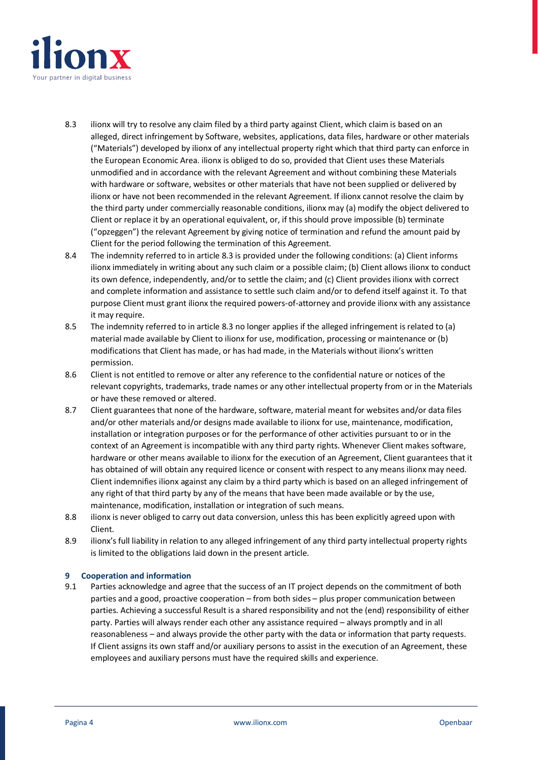

- 8.3 ilionx will try to resolve any claim filed by a third party against Client, which claim is based on an alleged, direct infringement by Software, websites, applications, data files, hardware or other materials ("Materials") developed by ilionx of any intellectual property right which that third party can enforce in the European Economic Area. ilionx is obliged to do so, provided that Client uses these Materials unmodified and in accordance with the relevant Agreement and without combining these Materials with hardware or software, websites or other materials that have not been supplied or delivered by ilionx or have not been recommended in the relevant Agreement. If ilionx cannot resolve the claim by the third party under commercially reasonable conditions, ilionx may (a) modify the object delivered to Client or replace it by an operational equivalent, or, if this should prove impossible (b) terminate ("opzeggen") the relevant Agreement by giving notice of termination and refund the amount paid by Client for the period following the termination of this Agreement.
- 8.4 The indemnity referred to in article 8.3 is provided under the following conditions: (a) Client informs ilionx immediately in writing about any such claim or a possible claim; (b) Client allows ilionx to conduct its own defence, independently, and/or to settle the claim; and (c) Client provides ilionx with correct and complete information and assistance to settle such claim and/or to defend itself against it. To that purpose Client must grant ilionx the required powers-of-attorney and provide ilionx with any assistance it may require.
- 8.5 The indemnity referred to in article 8.3 no longer applies if the alleged infringement is related to (a) material made available by Client to ilionx for use, modification, processing or maintenance or (b) modifications that Client has made, or has had made, in the Materials without ilionx's written permission.
- 8.6 Client is not entitled to remove or alter any reference to the confidential nature or notices of the relevant copyrights, trademarks, trade names or any other intellectual property from or in the Materials or have these removed or altered.
- 8.7 Client guarantees that none of the hardware, software, material meant for websites and/or data files and/or other materials and/or designs made available to ilionx for use, maintenance, modification, installation or integration purposes or for the performance of other activities pursuant to or in the context of an Agreement is incompatible with any third party rights. Whenever Client makes software, hardware or other means available to ilionx for the execution of an Agreement, Client guarantees that it has obtained of will obtain any required licence or consent with respect to any means ilionx may need. Client indemnifies ilionx against any claim by a third party which is based on an alleged infringement of any right of that third party by any of the means that have been made available or by the use, maintenance, modification, installation or integration of such means.
- 8.8 ilionx is never obliged to carry out data conversion, unless this has been explicitly agreed upon with Client.
- 8.9 ilionx's full liability in relation to any alleged infringement of any third party intellectual property rights is limited to the obligations laid down in the present article.

# **9 Cooperation and information**

9.1 Parties acknowledge and agree that the success of an IT project depends on the commitment of both parties and a good, proactive cooperation – from both sides – plus proper communication between parties. Achieving a successful Result is a shared responsibility and not the (end) responsibility of either party. Parties will always render each other any assistance required – always promptly and in all reasonableness – and always provide the other party with the data or information that party requests. If Client assigns its own staff and/or auxiliary persons to assist in the execution of an Agreement, these employees and auxiliary persons must have the required skills and experience.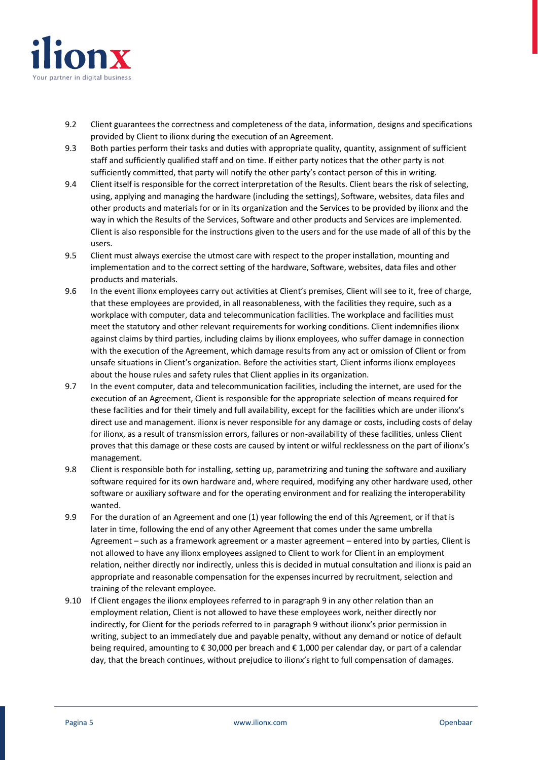

- 9.2 Client guarantees the correctness and completeness of the data, information, designs and specifications provided by Client to ilionx during the execution of an Agreement.
- 9.3 Both parties perform their tasks and duties with appropriate quality, quantity, assignment of sufficient staff and sufficiently qualified staff and on time. If either party notices that the other party is not sufficiently committed, that party will notify the other party's contact person of this in writing.
- 9.4 Client itself is responsible for the correct interpretation of the Results. Client bears the risk of selecting, using, applying and managing the hardware (including the settings), Software, websites, data files and other products and materials for or in its organization and the Services to be provided by ilionx and the way in which the Results of the Services, Software and other products and Services are implemented. Client is also responsible for the instructions given to the users and for the use made of all of this by the users.
- 9.5 Client must always exercise the utmost care with respect to the proper installation, mounting and implementation and to the correct setting of the hardware, Software, websites, data files and other products and materials.
- 9.6 In the event ilionx employees carry out activities at Client's premises, Client will see to it, free of charge, that these employees are provided, in all reasonableness, with the facilities they require, such as a workplace with computer, data and telecommunication facilities. The workplace and facilities must meet the statutory and other relevant requirements for working conditions. Client indemnifies ilionx against claims by third parties, including claims by ilionx employees, who suffer damage in connection with the execution of the Agreement, which damage results from any act or omission of Client or from unsafe situations in Client's organization. Before the activities start, Client informs ilionx employees about the house rules and safety rules that Client applies in its organization.
- 9.7 In the event computer, data and telecommunication facilities, including the internet, are used for the execution of an Agreement, Client is responsible for the appropriate selection of means required for these facilities and for their timely and full availability, except for the facilities which are under ilionx's direct use and management. ilionx is never responsible for any damage or costs, including costs of delay for ilionx, as a result of transmission errors, failures or non-availability of these facilities, unless Client proves that this damage or these costs are caused by intent or wilful recklessness on the part of ilionx's management.
- 9.8 Client is responsible both for installing, setting up, parametrizing and tuning the software and auxiliary software required for its own hardware and, where required, modifying any other hardware used, other software or auxiliary software and for the operating environment and for realizing the interoperability wanted.
- 9.9 For the duration of an Agreement and one (1) year following the end of this Agreement, or if that is later in time, following the end of any other Agreement that comes under the same umbrella Agreement – such as a framework agreement or a master agreement – entered into by parties, Client is not allowed to have any ilionx employees assigned to Client to work for Client in an employment relation, neither directly nor indirectly, unless this is decided in mutual consultation and ilionx is paid an appropriate and reasonable compensation for the expenses incurred by recruitment, selection and training of the relevant employee.
- 9.10 If Client engages the ilionx employees referred to in paragraph 9 in any other relation than an employment relation, Client is not allowed to have these employees work, neither directly nor indirectly, for Client for the periods referred to in paragraph 9 without ilionx's prior permission in writing, subject to an immediately due and payable penalty, without any demand or notice of default being required, amounting to € 30,000 per breach and € 1,000 per calendar day, or part of a calendar day, that the breach continues, without prejudice to ilionx's right to full compensation of damages.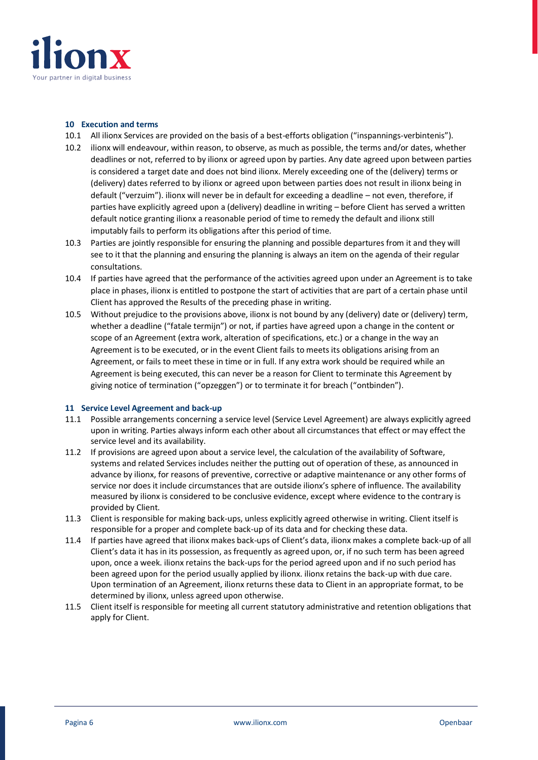

#### **10 Execution and terms**

- 10.1 All ilionx Services are provided on the basis of a best-efforts obligation ("inspannings-verbintenis").
- 10.2 ilionx will endeavour, within reason, to observe, as much as possible, the terms and/or dates, whether deadlines or not, referred to by ilionx or agreed upon by parties. Any date agreed upon between parties is considered a target date and does not bind ilionx. Merely exceeding one of the (delivery) terms or (delivery) dates referred to by ilionx or agreed upon between parties does not result in ilionx being in default ("verzuim"). ilionx will never be in default for exceeding a deadline – not even, therefore, if parties have explicitly agreed upon a (delivery) deadline in writing – before Client has served a written default notice granting ilionx a reasonable period of time to remedy the default and ilionx still imputably fails to perform its obligations after this period of time.
- 10.3 Parties are jointly responsible for ensuring the planning and possible departures from it and they will see to it that the planning and ensuring the planning is always an item on the agenda of their regular consultations.
- 10.4 If parties have agreed that the performance of the activities agreed upon under an Agreement is to take place in phases, ilionx is entitled to postpone the start of activities that are part of a certain phase until Client has approved the Results of the preceding phase in writing.
- 10.5 Without prejudice to the provisions above, ilionx is not bound by any (delivery) date or (delivery) term, whether a deadline ("fatale termijn") or not, if parties have agreed upon a change in the content or scope of an Agreement (extra work, alteration of specifications, etc.) or a change in the way an Agreement is to be executed, or in the event Client fails to meets its obligations arising from an Agreement, or fails to meet these in time or in full. If any extra work should be required while an Agreement is being executed, this can never be a reason for Client to terminate this Agreement by giving notice of termination ("opzeggen") or to terminate it for breach ("ontbinden").

# **11 Service Level Agreement and back-up**

- 11.1 Possible arrangements concerning a service level (Service Level Agreement) are always explicitly agreed upon in writing. Parties always inform each other about all circumstances that effect or may effect the service level and its availability.
- 11.2 If provisions are agreed upon about a service level, the calculation of the availability of Software, systems and related Services includes neither the putting out of operation of these, as announced in advance by ilionx, for reasons of preventive, corrective or adaptive maintenance or any other forms of service nor does it include circumstances that are outside ilionx's sphere of influence. The availability measured by ilionx is considered to be conclusive evidence, except where evidence to the contrary is provided by Client.
- 11.3 Client is responsible for making back-ups, unless explicitly agreed otherwise in writing. Client itself is responsible for a proper and complete back-up of its data and for checking these data.
- 11.4 If parties have agreed that ilionx makes back-ups of Client's data, ilionx makes a complete back-up of all Client's data it has in its possession, as frequently as agreed upon, or, if no such term has been agreed upon, once a week. ilionx retains the back-ups for the period agreed upon and if no such period has been agreed upon for the period usually applied by ilionx. ilionx retains the back-up with due care. Upon termination of an Agreement, ilionx returns these data to Client in an appropriate format, to be determined by ilionx, unless agreed upon otherwise.
- 11.5 Client itself is responsible for meeting all current statutory administrative and retention obligations that apply for Client.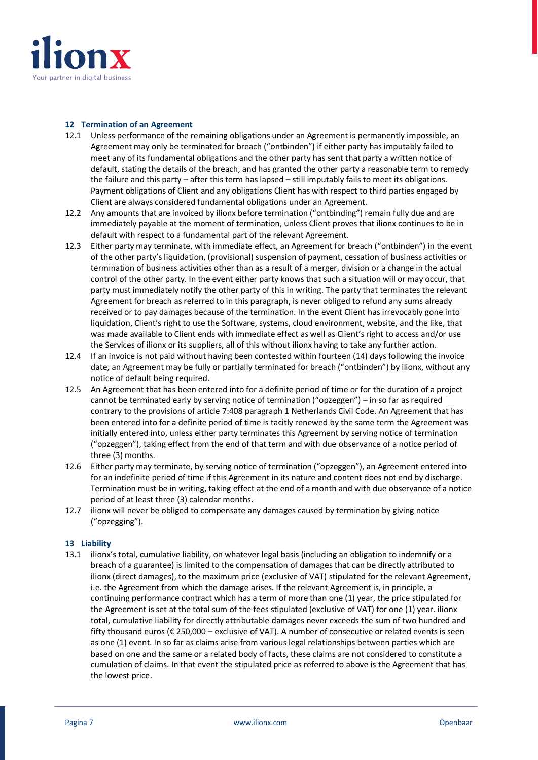![](_page_6_Picture_0.jpeg)

#### **12 Termination of an Agreement**

- 12.1 Unless performance of the remaining obligations under an Agreement is permanently impossible, an Agreement may only be terminated for breach ("ontbinden") if either party has imputably failed to meet any of its fundamental obligations and the other party has sent that party a written notice of default, stating the details of the breach, and has granted the other party a reasonable term to remedy the failure and this party – after this term has lapsed – still imputably fails to meet its obligations. Payment obligations of Client and any obligations Client has with respect to third parties engaged by Client are always considered fundamental obligations under an Agreement.
- 12.2 Any amounts that are invoiced by ilionx before termination ("ontbinding") remain fully due and are immediately payable at the moment of termination, unless Client proves that ilionx continues to be in default with respect to a fundamental part of the relevant Agreement.
- 12.3 Either party may terminate, with immediate effect, an Agreement for breach ("ontbinden") in the event of the other party's liquidation, (provisional) suspension of payment, cessation of business activities or termination of business activities other than as a result of a merger, division or a change in the actual control of the other party. In the event either party knows that such a situation will or may occur, that party must immediately notify the other party of this in writing. The party that terminates the relevant Agreement for breach as referred to in this paragraph, is never obliged to refund any sums already received or to pay damages because of the termination. In the event Client has irrevocably gone into liquidation, Client's right to use the Software, systems, cloud environment, website, and the like, that was made available to Client ends with immediate effect as well as Client's right to access and/or use the Services of ilionx or its suppliers, all of this without ilionx having to take any further action.
- 12.4 If an invoice is not paid without having been contested within fourteen (14) days following the invoice date, an Agreement may be fully or partially terminated for breach ("ontbinden") by ilionx, without any notice of default being required.
- 12.5 An Agreement that has been entered into for a definite period of time or for the duration of a project cannot be terminated early by serving notice of termination ("opzeggen") – in so far as required contrary to the provisions of article 7:408 paragraph 1 Netherlands Civil Code. An Agreement that has been entered into for a definite period of time is tacitly renewed by the same term the Agreement was initially entered into, unless either party terminates this Agreement by serving notice of termination ("opzeggen"), taking effect from the end of that term and with due observance of a notice period of three (3) months.
- 12.6 Either party may terminate, by serving notice of termination ("opzeggen"), an Agreement entered into for an indefinite period of time if this Agreement in its nature and content does not end by discharge. Termination must be in writing, taking effect at the end of a month and with due observance of a notice period of at least three (3) calendar months.
- 12.7 ilionx will never be obliged to compensate any damages caused by termination by giving notice ("opzegging").

# **13 Liability**

13.1 ilionx's total, cumulative liability, on whatever legal basis (including an obligation to indemnify or a breach of a guarantee) is limited to the compensation of damages that can be directly attributed to ilionx (direct damages), to the maximum price (exclusive of VAT) stipulated for the relevant Agreement, i.e. the Agreement from which the damage arises. If the relevant Agreement is, in principle, a continuing performance contract which has a term of more than one (1) year, the price stipulated for the Agreement is set at the total sum of the fees stipulated (exclusive of VAT) for one (1) year. ilionx total, cumulative liability for directly attributable damages never exceeds the sum of two hundred and fifty thousand euros (€ 250,000 – exclusive of VAT). A number of consecutive or related events is seen as one (1) event. In so far as claims arise from various legal relationships between parties which are based on one and the same or a related body of facts, these claims are not considered to constitute a cumulation of claims. In that event the stipulated price as referred to above is the Agreement that has the lowest price.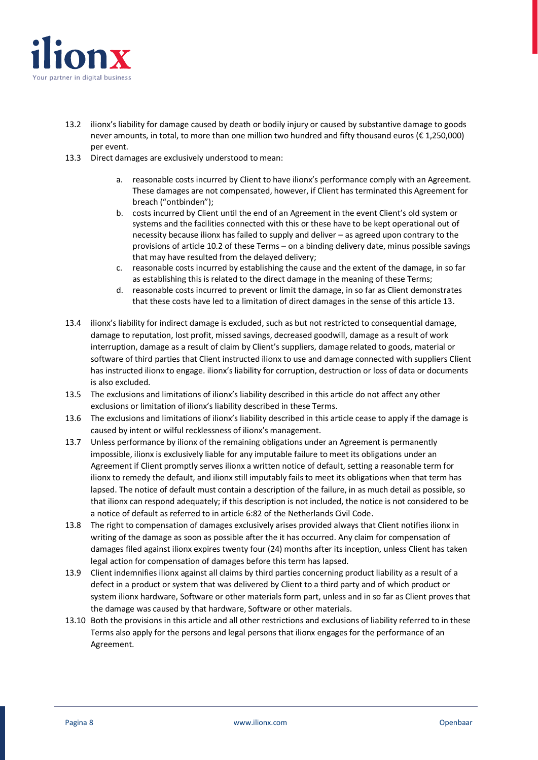![](_page_7_Picture_0.jpeg)

- 13.2 ilionx's liability for damage caused by death or bodily injury or caused by substantive damage to goods never amounts, in total, to more than one million two hundred and fifty thousand euros (€ 1,250,000) per event.
- 13.3 Direct damages are exclusively understood to mean:
	- a. reasonable costs incurred by Client to have ilionx's performance comply with an Agreement. These damages are not compensated, however, if Client has terminated this Agreement for breach ("ontbinden");
	- b. costs incurred by Client until the end of an Agreement in the event Client's old system or systems and the facilities connected with this or these have to be kept operational out of necessity because ilionx has failed to supply and deliver – as agreed upon contrary to the provisions of article 10.2 of these Terms – on a binding delivery date, minus possible savings that may have resulted from the delayed delivery;
	- c. reasonable costs incurred by establishing the cause and the extent of the damage, in so far as establishing this is related to the direct damage in the meaning of these Terms;
	- d. reasonable costs incurred to prevent or limit the damage, in so far as Client demonstrates that these costs have led to a limitation of direct damages in the sense of this article 13.
- 13.4 ilionx's liability for indirect damage is excluded, such as but not restricted to consequential damage, damage to reputation, lost profit, missed savings, decreased goodwill, damage as a result of work interruption, damage as a result of claim by Client's suppliers, damage related to goods, material or software of third parties that Client instructed ilionx to use and damage connected with suppliers Client has instructed ilionx to engage. ilionx's liability for corruption, destruction or loss of data or documents is also excluded.
- 13.5 The exclusions and limitations of ilionx's liability described in this article do not affect any other exclusions or limitation of ilionx's liability described in these Terms.
- 13.6 The exclusions and limitations of ilionx's liability described in this article cease to apply if the damage is caused by intent or wilful recklessness of ilionx's management.
- 13.7 Unless performance by ilionx of the remaining obligations under an Agreement is permanently impossible, ilionx is exclusively liable for any imputable failure to meet its obligations under an Agreement if Client promptly serves ilionx a written notice of default, setting a reasonable term for ilionx to remedy the default, and ilionx still imputably fails to meet its obligations when that term has lapsed. The notice of default must contain a description of the failure, in as much detail as possible, so that ilionx can respond adequately; if this description is not included, the notice is not considered to be a notice of default as referred to in article 6:82 of the Netherlands Civil Code.
- 13.8 The right to compensation of damages exclusively arises provided always that Client notifies ilionx in writing of the damage as soon as possible after the it has occurred. Any claim for compensation of damages filed against ilionx expires twenty four (24) months after its inception, unless Client has taken legal action for compensation of damages before this term has lapsed.
- 13.9 Client indemnifies ilionx against all claims by third parties concerning product liability as a result of a defect in a product or system that was delivered by Client to a third party and of which product or system ilionx hardware, Software or other materials form part, unless and in so far as Client proves that the damage was caused by that hardware, Software or other materials.
- 13.10 Both the provisions in this article and all other restrictions and exclusions of liability referred to in these Terms also apply for the persons and legal persons that ilionx engages for the performance of an Agreement.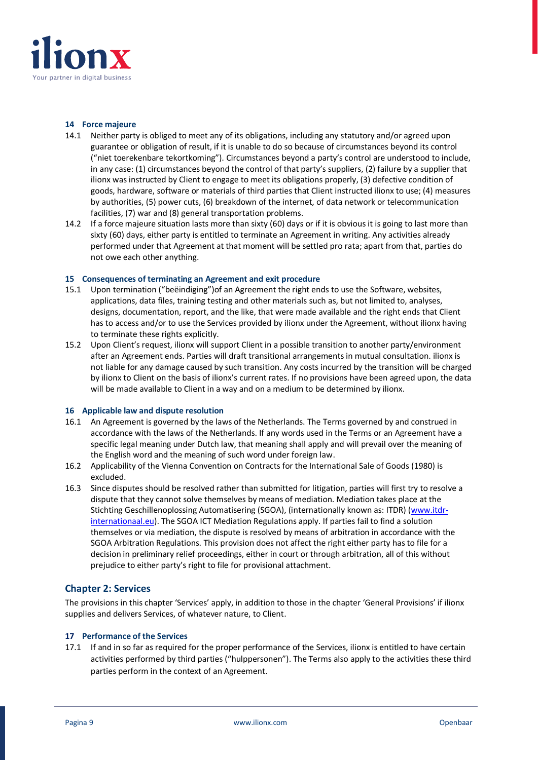![](_page_8_Picture_0.jpeg)

#### **14 Force majeure**

- 14.1 Neither party is obliged to meet any of its obligations, including any statutory and/or agreed upon guarantee or obligation of result, if it is unable to do so because of circumstances beyond its control ("niet toerekenbare tekortkoming"). Circumstances beyond a party's control are understood to include, in any case: (1) circumstances beyond the control of that party's suppliers, (2) failure by a supplier that ilionx was instructed by Client to engage to meet its obligations properly, (3) defective condition of goods, hardware, software or materials of third parties that Client instructed ilionx to use; (4) measures by authorities, (5) power cuts, (6) breakdown of the internet, of data network or telecommunication facilities, (7) war and (8) general transportation problems.
- 14.2 If a force majeure situation lasts more than sixty (60) days or if it is obvious it is going to last more than sixty (60) days, either party is entitled to terminate an Agreement in writing. Any activities already performed under that Agreement at that moment will be settled pro rata; apart from that, parties do not owe each other anything.

#### **15 Consequences of terminating an Agreement and exit procedure**

- 15.1 Upon termination ("beëindiging")of an Agreement the right ends to use the Software, websites, applications, data files, training testing and other materials such as, but not limited to, analyses, designs, documentation, report, and the like, that were made available and the right ends that Client has to access and/or to use the Services provided by ilionx under the Agreement, without ilionx having to terminate these rights explicitly.
- 15.2 Upon Client's request, ilionx will support Client in a possible transition to another party/environment after an Agreement ends. Parties will draft transitional arrangements in mutual consultation. ilionx is not liable for any damage caused by such transition. Any costs incurred by the transition will be charged by ilionx to Client on the basis of ilionx's current rates. If no provisions have been agreed upon, the data will be made available to Client in a way and on a medium to be determined by ilionx.

#### **16 Applicable law and dispute resolution**

- 16.1 An Agreement is governed by the laws of the Netherlands. The Terms governed by and construed in accordance with the laws of the Netherlands. If any words used in the Terms or an Agreement have a specific legal meaning under Dutch law, that meaning shall apply and will prevail over the meaning of the English word and the meaning of such word under foreign law.
- 16.2 Applicability of the Vienna Convention on Contracts for the International Sale of Goods (1980) is excluded.
- 16.3 Since disputes should be resolved rather than submitted for litigation, parties will first try to resolve a dispute that they cannot solve themselves by means of mediation. Mediation takes place at the Stichting Geschillenoplossing Automatisering (SGOA), (internationally known as: ITDR) [\(www.itdr](http://www.itdr-internationaal.eu/)[internationaal.eu\)](http://www.itdr-internationaal.eu/). The SGOA ICT Mediation Regulations apply. If parties fail to find a solution themselves or via mediation, the dispute is resolved by means of arbitration in accordance with the SGOA Arbitration Regulations. This provision does not affect the right either party has to file for a decision in preliminary relief proceedings, either in court or through arbitration, all of this without prejudice to either party's right to file for provisional attachment.

# **Chapter 2: Services**

The provisions in this chapter 'Services' apply, in addition to those in the chapter 'General Provisions' if ilionx supplies and delivers Services, of whatever nature, to Client.

# **17 Performance of the Services**

17.1 If and in so far as required for the proper performance of the Services, ilionx is entitled to have certain activities performed by third parties ("hulppersonen"). The Terms also apply to the activities these third parties perform in the context of an Agreement.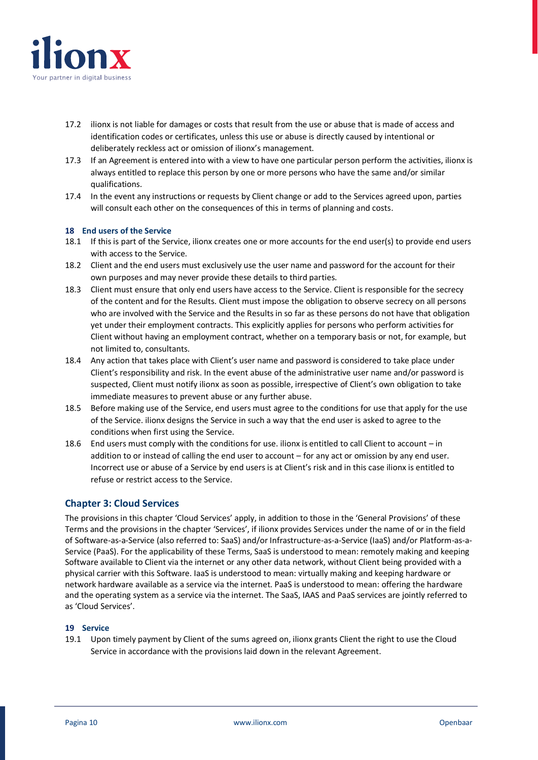![](_page_9_Picture_0.jpeg)

- 17.2 ilionx is not liable for damages or costs that result from the use or abuse that is made of access and identification codes or certificates, unless this use or abuse is directly caused by intentional or deliberately reckless act or omission of ilionx's management.
- 17.3 If an Agreement is entered into with a view to have one particular person perform the activities, ilionx is always entitled to replace this person by one or more persons who have the same and/or similar qualifications.
- 17.4 In the event any instructions or requests by Client change or add to the Services agreed upon, parties will consult each other on the consequences of this in terms of planning and costs.

# **18 End users of the Service**

- 18.1 If this is part of the Service, ilionx creates one or more accounts for the end user(s) to provide end users with access to the Service.
- 18.2 Client and the end users must exclusively use the user name and password for the account for their own purposes and may never provide these details to third parties.
- 18.3 Client must ensure that only end users have access to the Service. Client is responsible for the secrecy of the content and for the Results. Client must impose the obligation to observe secrecy on all persons who are involved with the Service and the Results in so far as these persons do not have that obligation yet under their employment contracts. This explicitly applies for persons who perform activities for Client without having an employment contract, whether on a temporary basis or not, for example, but not limited to, consultants.
- 18.4 Any action that takes place with Client's user name and password is considered to take place under Client's responsibility and risk. In the event abuse of the administrative user name and/or password is suspected, Client must notify ilionx as soon as possible, irrespective of Client's own obligation to take immediate measures to prevent abuse or any further abuse.
- 18.5 Before making use of the Service, end users must agree to the conditions for use that apply for the use of the Service. ilionx designs the Service in such a way that the end user is asked to agree to the conditions when first using the Service.
- 18.6 End users must comply with the conditions for use. ilionx is entitled to call Client to account in addition to or instead of calling the end user to account – for any act or omission by any end user. Incorrect use or abuse of a Service by end users is at Client's risk and in this case ilionx is entitled to refuse or restrict access to the Service.

# **Chapter 3: Cloud Services**

The provisions in this chapter 'Cloud Services' apply, in addition to those in the 'General Provisions' of these Terms and the provisions in the chapter 'Services', if ilionx provides Services under the name of or in the field of Software-as-a-Service (also referred to: SaaS) and/or Infrastructure-as-a-Service (IaaS) and/or Platform-as-a-Service (PaaS). For the applicability of these Terms, SaaS is understood to mean: remotely making and keeping Software available to Client via the internet or any other data network, without Client being provided with a physical carrier with this Software. IaaS is understood to mean: virtually making and keeping hardware or network hardware available as a service via the internet. PaaS is understood to mean: offering the hardware and the operating system as a service via the internet. The SaaS, IAAS and PaaS services are jointly referred to as 'Cloud Services'.

#### **19 Service**

19.1 Upon timely payment by Client of the sums agreed on, ilionx grants Client the right to use the Cloud Service in accordance with the provisions laid down in the relevant Agreement.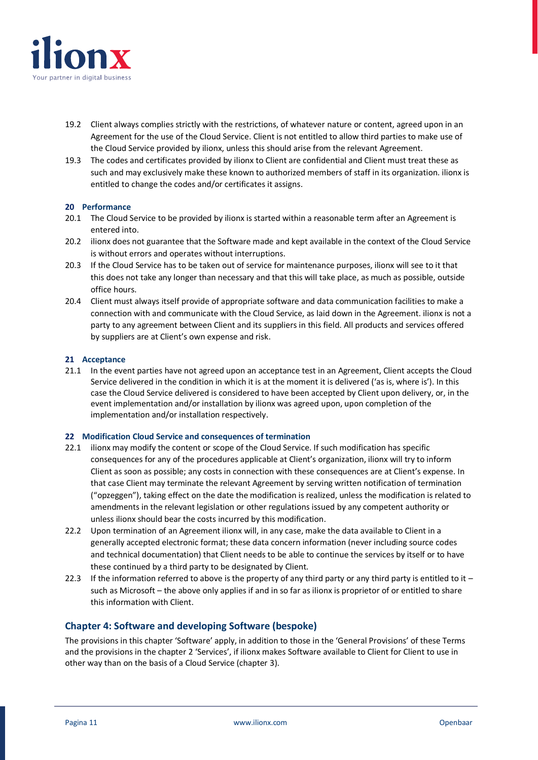![](_page_10_Picture_0.jpeg)

- 19.2 Client always complies strictly with the restrictions, of whatever nature or content, agreed upon in an Agreement for the use of the Cloud Service. Client is not entitled to allow third parties to make use of the Cloud Service provided by ilionx, unless this should arise from the relevant Agreement.
- 19.3 The codes and certificates provided by ilionx to Client are confidential and Client must treat these as such and may exclusively make these known to authorized members of staff in its organization. ilionx is entitled to change the codes and/or certificates it assigns.

#### **20 Performance**

- 20.1 The Cloud Service to be provided by ilionx is started within a reasonable term after an Agreement is entered into.
- 20.2 ilionx does not guarantee that the Software made and kept available in the context of the Cloud Service is without errors and operates without interruptions.
- 20.3 If the Cloud Service has to be taken out of service for maintenance purposes, ilionx will see to it that this does not take any longer than necessary and that this will take place, as much as possible, outside office hours.
- 20.4 Client must always itself provide of appropriate software and data communication facilities to make a connection with and communicate with the Cloud Service, as laid down in the Agreement. ilionx is not a party to any agreement between Client and its suppliers in this field. All products and services offered by suppliers are at Client's own expense and risk.

#### **21 Acceptance**

21.1 In the event parties have not agreed upon an acceptance test in an Agreement, Client accepts the Cloud Service delivered in the condition in which it is at the moment it is delivered ('as is, where is'). In this case the Cloud Service delivered is considered to have been accepted by Client upon delivery, or, in the event implementation and/or installation by ilionx was agreed upon, upon completion of the implementation and/or installation respectively.

#### **22 Modification Cloud Service and consequences of termination**

- 22.1 ilionx may modify the content or scope of the Cloud Service. If such modification has specific consequences for any of the procedures applicable at Client's organization, ilionx will try to inform Client as soon as possible; any costs in connection with these consequences are at Client's expense. In that case Client may terminate the relevant Agreement by serving written notification of termination ("opzeggen"), taking effect on the date the modification is realized, unless the modification is related to amendments in the relevant legislation or other regulations issued by any competent authority or unless ilionx should bear the costs incurred by this modification.
- 22.2 Upon termination of an Agreement ilionx will, in any case, make the data available to Client in a generally accepted electronic format; these data concern information (never including source codes and technical documentation) that Client needs to be able to continue the services by itself or to have these continued by a third party to be designated by Client.
- 22.3 If the information referred to above is the property of any third party or any third party is entitled to it  $$ such as Microsoft – the above only applies if and in so far as ilionx is proprietor of or entitled to share this information with Client.

# **Chapter 4: Software and developing Software (bespoke)**

The provisions in this chapter 'Software' apply, in addition to those in the 'General Provisions' of these Terms and the provisions in the chapter 2 'Services', if ilionx makes Software available to Client for Client to use in other way than on the basis of a Cloud Service (chapter 3).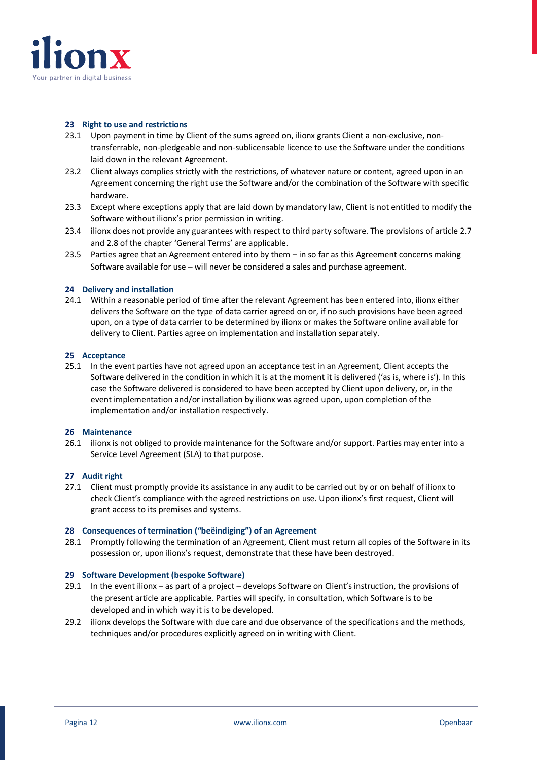![](_page_11_Picture_0.jpeg)

#### **23 Right to use and restrictions**

- 23.1 Upon payment in time by Client of the sums agreed on, ilionx grants Client a non-exclusive, nontransferrable, non-pledgeable and non-sublicensable licence to use the Software under the conditions laid down in the relevant Agreement.
- 23.2 Client always complies strictly with the restrictions, of whatever nature or content, agreed upon in an Agreement concerning the right use the Software and/or the combination of the Software with specific hardware.
- 23.3 Except where exceptions apply that are laid down by mandatory law, Client is not entitled to modify the Software without ilionx's prior permission in writing.
- 23.4 ilionx does not provide any guarantees with respect to third party software. The provisions of article 2.7 and 2.8 of the chapter 'General Terms' are applicable.
- 23.5 Parties agree that an Agreement entered into by them in so far as this Agreement concerns making Software available for use – will never be considered a sales and purchase agreement.

#### **24 Delivery and installation**

24.1 Within a reasonable period of time after the relevant Agreement has been entered into, ilionx either delivers the Software on the type of data carrier agreed on or, if no such provisions have been agreed upon, on a type of data carrier to be determined by ilionx or makes the Software online available for delivery to Client. Parties agree on implementation and installation separately.

#### **25 Acceptance**

25.1 In the event parties have not agreed upon an acceptance test in an Agreement, Client accepts the Software delivered in the condition in which it is at the moment it is delivered ('as is, where is'). In this case the Software delivered is considered to have been accepted by Client upon delivery, or, in the event implementation and/or installation by ilionx was agreed upon, upon completion of the implementation and/or installation respectively.

#### **26 Maintenance**

26.1 ilionx is not obliged to provide maintenance for the Software and/or support. Parties may enter into a Service Level Agreement (SLA) to that purpose.

#### **27 Audit right**

27.1 Client must promptly provide its assistance in any audit to be carried out by or on behalf of ilionx to check Client's compliance with the agreed restrictions on use. Upon ilionx's first request, Client will grant access to its premises and systems.

#### **28 Consequences of termination ("beëindiging") of an Agreement**

28.1 Promptly following the termination of an Agreement, Client must return all copies of the Software in its possession or, upon ilionx's request, demonstrate that these have been destroyed.

#### **29 Software Development (bespoke Software)**

- 29.1 In the event ilionx as part of a project develops Software on Client's instruction, the provisions of the present article are applicable. Parties will specify, in consultation, which Software is to be developed and in which way it is to be developed.
- 29.2 ilionx develops the Software with due care and due observance of the specifications and the methods, techniques and/or procedures explicitly agreed on in writing with Client.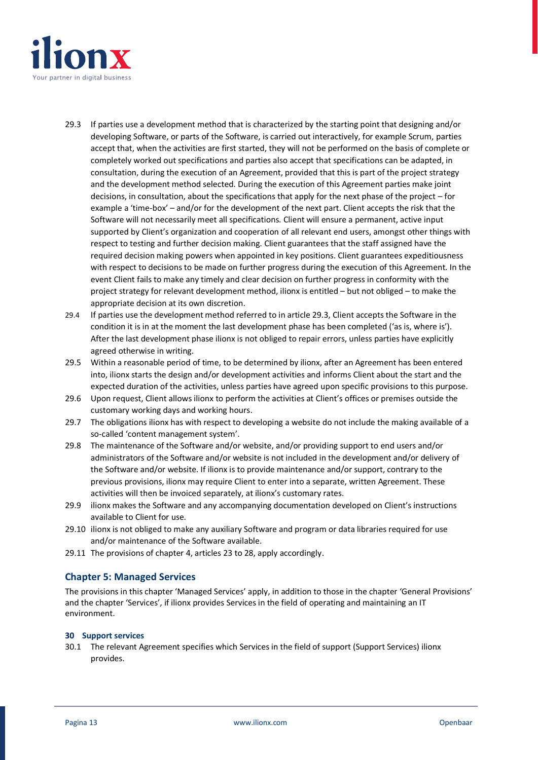![](_page_12_Picture_0.jpeg)

- 29.3 If parties use a development method that is characterized by the starting point that designing and/or developing Software, or parts of the Software, is carried out interactively, for example Scrum, parties accept that, when the activities are first started, they will not be performed on the basis of complete or completely worked out specifications and parties also accept that specifications can be adapted, in consultation, during the execution of an Agreement, provided that this is part of the project strategy and the development method selected. During the execution of this Agreement parties make joint decisions, in consultation, about the specifications that apply for the next phase of the project – for example a 'time-box' – and/or for the development of the next part. Client accepts the risk that the Software will not necessarily meet all specifications. Client will ensure a permanent, active input supported by Client's organization and cooperation of all relevant end users, amongst other things with respect to testing and further decision making. Client guarantees that the staff assigned have the required decision making powers when appointed in key positions. Client guarantees expeditiousness with respect to decisions to be made on further progress during the execution of this Agreement. In the event Client fails to make any timely and clear decision on further progress in conformity with the project strategy for relevant development method, ilionx is entitled – but not obliged – to make the appropriate decision at its own discretion.
- 29.4 If parties use the development method referred to in article 29.3, Client accepts the Software in the condition it is in at the moment the last development phase has been completed ('as is, where is'). After the last development phase ilionx is not obliged to repair errors, unless parties have explicitly agreed otherwise in writing.
- 29.5 Within a reasonable period of time, to be determined by ilionx, after an Agreement has been entered into, ilionx starts the design and/or development activities and informs Client about the start and the expected duration of the activities, unless parties have agreed upon specific provisions to this purpose.
- 29.6 Upon request, Client allows ilionx to perform the activities at Client's offices or premises outside the customary working days and working hours.
- 29.7 The obligations ilionx has with respect to developing a website do not include the making available of a so-called 'content management system'.
- 29.8 The maintenance of the Software and/or website, and/or providing support to end users and/or administrators of the Software and/or website is not included in the development and/or delivery of the Software and/or website. If ilionx is to provide maintenance and/or support, contrary to the previous provisions, ilionx may require Client to enter into a separate, written Agreement. These activities will then be invoiced separately, at ilionx's customary rates.
- 29.9 ilionx makes the Software and any accompanying documentation developed on Client's instructions available to Client for use.
- 29.10 ilionx is not obliged to make any auxiliary Software and program or data libraries required for use and/or maintenance of the Software available.
- 29.11 The provisions of chapter 4, articles 23 to 28, apply accordingly.

# **Chapter 5: Managed Services**

The provisions in this chapter 'Managed Services' apply, in addition to those in the chapter 'General Provisions' and the chapter 'Services', if ilionx provides Services in the field of operating and maintaining an IT environment.

#### **30 Support services**

30.1 The relevant Agreement specifies which Services in the field of support (Support Services) ilionx provides.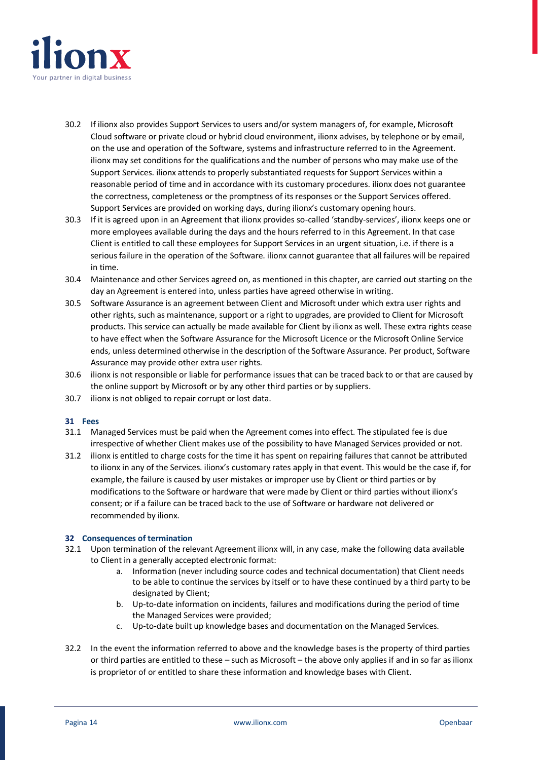![](_page_13_Picture_0.jpeg)

- 30.2 If ilionx also provides Support Services to users and/or system managers of, for example, Microsoft Cloud software or private cloud or hybrid cloud environment, ilionx advises, by telephone or by email, on the use and operation of the Software, systems and infrastructure referred to in the Agreement. ilionx may set conditions for the qualifications and the number of persons who may make use of the Support Services. ilionx attends to properly substantiated requests for Support Services within a reasonable period of time and in accordance with its customary procedures. ilionx does not guarantee the correctness, completeness or the promptness of its responses or the Support Services offered. Support Services are provided on working days, during ilionx's customary opening hours.
- 30.3 If it is agreed upon in an Agreement that ilionx provides so-called 'standby-services', ilionx keeps one or more employees available during the days and the hours referred to in this Agreement. In that case Client is entitled to call these employees for Support Services in an urgent situation, i.e. if there is a serious failure in the operation of the Software. ilionx cannot guarantee that all failures will be repaired in time.
- 30.4 Maintenance and other Services agreed on, as mentioned in this chapter, are carried out starting on the day an Agreement is entered into, unless parties have agreed otherwise in writing.
- 30.5 Software Assurance is an agreement between Client and Microsoft under which extra user rights and other rights, such as maintenance, support or a right to upgrades, are provided to Client for Microsoft products. This service can actually be made available for Client by ilionx as well. These extra rights cease to have effect when the Software Assurance for the Microsoft Licence or the Microsoft Online Service ends, unless determined otherwise in the description of the Software Assurance. Per product, Software Assurance may provide other extra user rights.
- 30.6 ilionx is not responsible or liable for performance issues that can be traced back to or that are caused by the online support by Microsoft or by any other third parties or by suppliers.
- 30.7 ilionx is not obliged to repair corrupt or lost data.

# **31 Fees**

- 31.1 Managed Services must be paid when the Agreement comes into effect. The stipulated fee is due irrespective of whether Client makes use of the possibility to have Managed Services provided or not.
- 31.2 ilionx is entitled to charge costs for the time it has spent on repairing failures that cannot be attributed to ilionx in any of the Services. ilionx's customary rates apply in that event. This would be the case if, for example, the failure is caused by user mistakes or improper use by Client or third parties or by modifications to the Software or hardware that were made by Client or third parties without ilionx's consent; or if a failure can be traced back to the use of Software or hardware not delivered or recommended by ilionx.

# **32 Consequences of termination**

- 32.1 Upon termination of the relevant Agreement ilionx will, in any case, make the following data available to Client in a generally accepted electronic format:
	- a. Information (never including source codes and technical documentation) that Client needs to be able to continue the services by itself or to have these continued by a third party to be designated by Client;
	- b. Up-to-date information on incidents, failures and modifications during the period of time the Managed Services were provided;
	- c. Up-to-date built up knowledge bases and documentation on the Managed Services.
- 32.2 In the event the information referred to above and the knowledge bases is the property of third parties or third parties are entitled to these – such as Microsoft – the above only applies if and in so far as ilionx is proprietor of or entitled to share these information and knowledge bases with Client.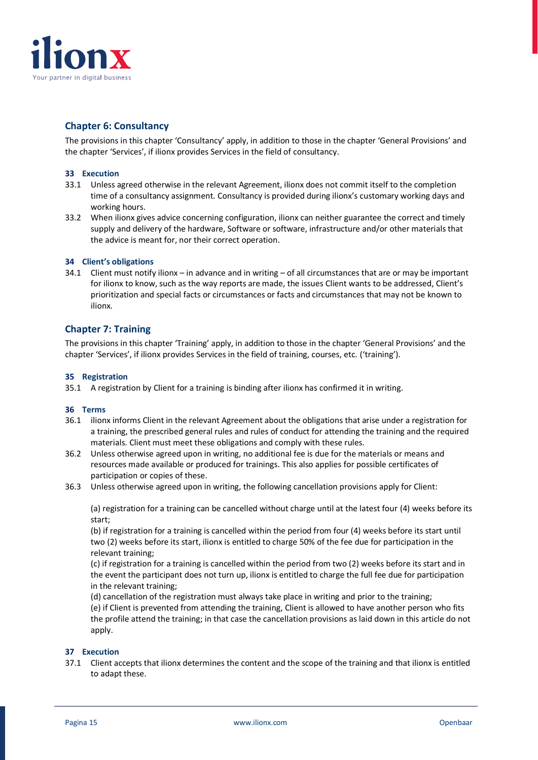![](_page_14_Picture_0.jpeg)

# **Chapter 6: Consultancy**

The provisions in this chapter 'Consultancy' apply, in addition to those in the chapter 'General Provisions' and the chapter 'Services', if ilionx provides Services in the field of consultancy.

### **33 Execution**

- 33.1 Unless agreed otherwise in the relevant Agreement, ilionx does not commit itself to the completion time of a consultancy assignment. Consultancy is provided during ilionx's customary working days and working hours.
- 33.2 When ilionx gives advice concerning configuration, ilionx can neither guarantee the correct and timely supply and delivery of the hardware, Software or software, infrastructure and/or other materials that the advice is meant for, nor their correct operation.

#### **34 Client's obligations**

34.1 Client must notify ilionx – in advance and in writing – of all circumstances that are or may be important for ilionx to know, such as the way reports are made, the issues Client wants to be addressed, Client's prioritization and special facts or circumstances or facts and circumstances that may not be known to ilionx.

# **Chapter 7: Training**

The provisions in this chapter 'Training' apply, in addition to those in the chapter 'General Provisions' and the chapter 'Services', if ilionx provides Services in the field of training, courses, etc. ('training').

#### **35 Registration**

35.1 A registration by Client for a training is binding after ilionx has confirmed it in writing.

#### **36 Terms**

- 36.1 ilionx informs Client in the relevant Agreement about the obligations that arise under a registration for a training, the prescribed general rules and rules of conduct for attending the training and the required materials. Client must meet these obligations and comply with these rules.
- 36.2 Unless otherwise agreed upon in writing, no additional fee is due for the materials or means and resources made available or produced for trainings. This also applies for possible certificates of participation or copies of these.
- 36.3 Unless otherwise agreed upon in writing, the following cancellation provisions apply for Client:

(a) registration for a training can be cancelled without charge until at the latest four (4) weeks before its start;

(b) if registration for a training is cancelled within the period from four (4) weeks before its start until two (2) weeks before its start, ilionx is entitled to charge 50% of the fee due for participation in the relevant training;

(c) if registration for a training is cancelled within the period from two (2) weeks before its start and in the event the participant does not turn up, ilionx is entitled to charge the full fee due for participation in the relevant training;

(d) cancellation of the registration must always take place in writing and prior to the training;

(e) if Client is prevented from attending the training, Client is allowed to have another person who fits the profile attend the training; in that case the cancellation provisions as laid down in this article do not apply.

#### **37 Execution**

37.1 Client accepts that ilionx determines the content and the scope of the training and that ilionx is entitled to adapt these.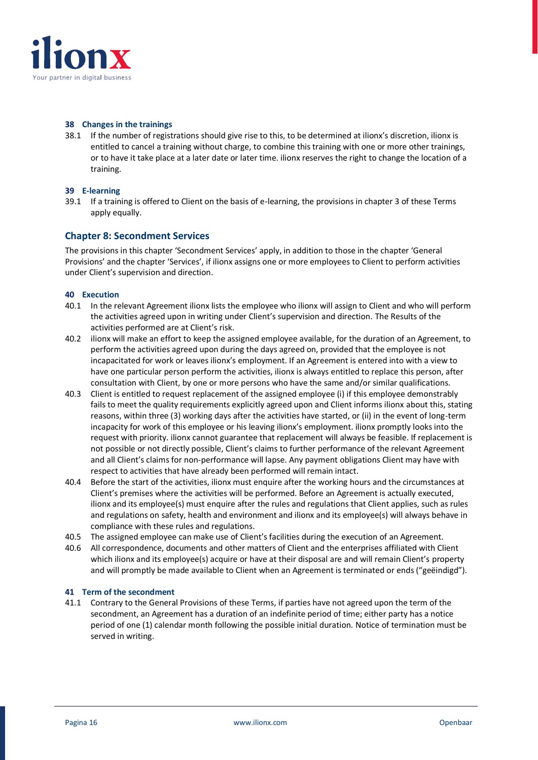![](_page_15_Picture_0.jpeg)

#### **38 Changes in the trainings**

38.1 If the number of registrations should give rise to this, to be determined at ilionx's discretion, ilionx is entitled to cancel a training without charge, to combine this training with one or more other trainings, or to have it take place at a later date or later time. ilionx reserves the right to change the location of a training.

# **39 E-learning**

39.1 If a training is offered to Client on the basis of e-learning, the provisions in chapter 3 of these Terms apply equally.

# **Chapter 8: Secondment Services**

The provisions in this chapter 'Secondment Services' apply, in addition to those in the chapter 'General Provisions' and the chapter 'Services', if ilionx assigns one or more employees to Client to perform activities under Client's supervision and direction.

#### **40 Execution**

- 40.1 In the relevant Agreement ilionx lists the employee who ilionx will assign to Client and who will perform the activities agreed upon in writing under Client's supervision and direction. The Results of the activities performed are at Client's risk.
- 40.2 ilionx will make an effort to keep the assigned employee available, for the duration of an Agreement, to perform the activities agreed upon during the days agreed on, provided that the employee is not incapacitated for work or leaves ilionx's employment. If an Agreement is entered into with a view to have one particular person perform the activities, ilionx is always entitled to replace this person, after consultation with Client, by one or more persons who have the same and/or similar qualifications.
- 40.3 Client is entitled to request replacement of the assigned employee (i) if this employee demonstrably fails to meet the quality requirements explicitly agreed upon and Client informs ilionx about this, stating reasons, within three (3) working days after the activities have started, or (ii) in the event of long-term incapacity for work of this employee or his leaving ilionx's employment. ilionx promptly looks into the request with priority. ilionx cannot guarantee that replacement will always be feasible. If replacement is not possible or not directly possible, Client's claims to further performance of the relevant Agreement and all Client's claims for non-performance will lapse. Any payment obligations Client may have with respect to activities that have already been performed will remain intact.
- 40.4 Before the start of the activities, ilionx must enquire after the working hours and the circumstances at Client's premises where the activities will be performed. Before an Agreement is actually executed, ilionx and its employee(s) must enquire after the rules and regulations that Client applies, such as rules and regulations on safety, health and environment and ilionx and its employee(s) will always behave in compliance with these rules and regulations.
- 40.5 The assigned employee can make use of Client's facilities during the execution of an Agreement.
- 40.6 All correspondence, documents and other matters of Client and the enterprises affiliated with Client which ilionx and its employee(s) acquire or have at their disposal are and will remain Client's property and will promptly be made available to Client when an Agreement is terminated or ends ("geëindigd").

#### **41 Term of the secondment**

41.1 Contrary to the General Provisions of these Terms, if parties have not agreed upon the term of the secondment, an Agreement has a duration of an indefinite period of time; either party has a notice period of one (1) calendar month following the possible initial duration. Notice of termination must be served in writing.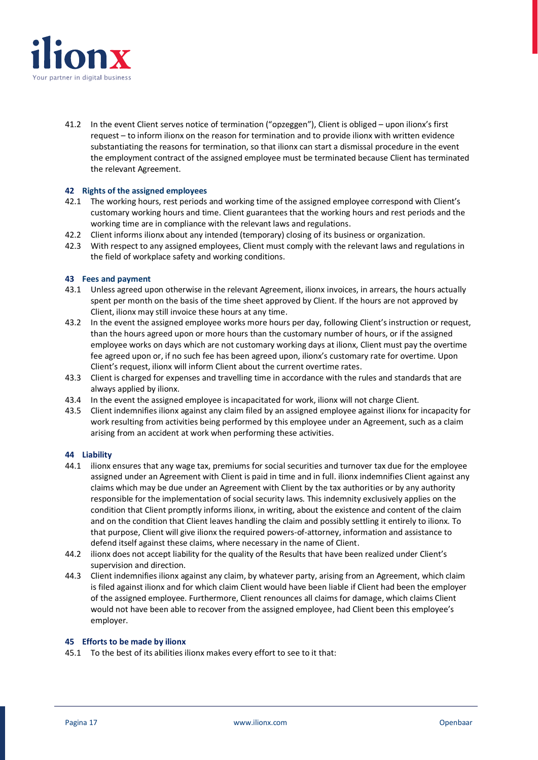![](_page_16_Picture_0.jpeg)

41.2 In the event Client serves notice of termination ("opzeggen"), Client is obliged – upon ilionx's first request – to inform ilionx on the reason for termination and to provide ilionx with written evidence substantiating the reasons for termination, so that ilionx can start a dismissal procedure in the event the employment contract of the assigned employee must be terminated because Client has terminated the relevant Agreement.

#### **42 Rights of the assigned employees**

- 42.1 The working hours, rest periods and working time of the assigned employee correspond with Client's customary working hours and time. Client guarantees that the working hours and rest periods and the working time are in compliance with the relevant laws and regulations.
- 42.2 Client informs ilionx about any intended (temporary) closing of its business or organization.
- 42.3 With respect to any assigned employees, Client must comply with the relevant laws and regulations in the field of workplace safety and working conditions.

#### **43 Fees and payment**

- 43.1 Unless agreed upon otherwise in the relevant Agreement, ilionx invoices, in arrears, the hours actually spent per month on the basis of the time sheet approved by Client. If the hours are not approved by Client, ilionx may still invoice these hours at any time.
- 43.2 In the event the assigned employee works more hours per day, following Client's instruction or request, than the hours agreed upon or more hours than the customary number of hours, or if the assigned employee works on days which are not customary working days at ilionx, Client must pay the overtime fee agreed upon or, if no such fee has been agreed upon, ilionx's customary rate for overtime. Upon Client's request, ilionx will inform Client about the current overtime rates.
- 43.3 Client is charged for expenses and travelling time in accordance with the rules and standards that are always applied by ilionx.
- 43.4 In the event the assigned employee is incapacitated for work, ilionx will not charge Client.
- 43.5 Client indemnifies ilionx against any claim filed by an assigned employee against ilionx for incapacity for work resulting from activities being performed by this employee under an Agreement, such as a claim arising from an accident at work when performing these activities.

#### **44 Liability**

- 44.1 ilionx ensures that any wage tax, premiums for social securities and turnover tax due for the employee assigned under an Agreement with Client is paid in time and in full. ilionx indemnifies Client against any claims which may be due under an Agreement with Client by the tax authorities or by any authority responsible for the implementation of social security laws. This indemnity exclusively applies on the condition that Client promptly informs ilionx, in writing, about the existence and content of the claim and on the condition that Client leaves handling the claim and possibly settling it entirely to ilionx. To that purpose, Client will give ilionx the required powers-of-attorney, information and assistance to defend itself against these claims, where necessary in the name of Client.
- 44.2 ilionx does not accept liability for the quality of the Results that have been realized under Client's supervision and direction.
- 44.3 Client indemnifies ilionx against any claim, by whatever party, arising from an Agreement, which claim is filed against ilionx and for which claim Client would have been liable if Client had been the employer of the assigned employee. Furthermore, Client renounces all claims for damage, which claims Client would not have been able to recover from the assigned employee, had Client been this employee's employer.

#### **45 Efforts to be made by ilionx**

45.1 To the best of its abilities ilionx makes every effort to see to it that: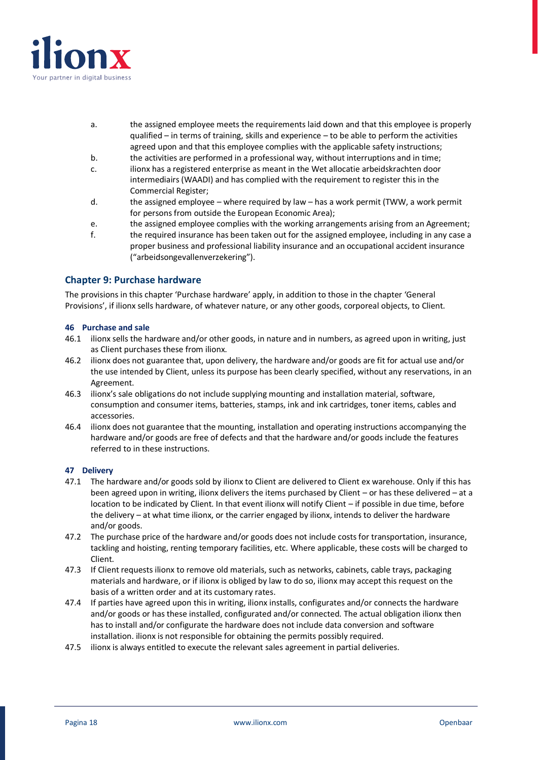![](_page_17_Picture_0.jpeg)

- a. the assigned employee meets the requirements laid down and that this employee is properly qualified – in terms of training, skills and experience – to be able to perform the activities agreed upon and that this employee complies with the applicable safety instructions;
- b. the activities are performed in a professional way, without interruptions and in time;
- c. ilionx has a registered enterprise as meant in the Wet allocatie arbeidskrachten door intermediairs (WAADI) and has complied with the requirement to register this in the Commercial Register;
- d. the assigned employee where required by law has a work permit (TWW, a work permit for persons from outside the European Economic Area);
- e. the assigned employee complies with the working arrangements arising from an Agreement;
- f. the required insurance has been taken out for the assigned employee, including in any case a proper business and professional liability insurance and an occupational accident insurance ("arbeidsongevallenverzekering").

# **Chapter 9: Purchase hardware**

The provisions in this chapter 'Purchase hardware' apply, in addition to those in the chapter 'General Provisions', if ilionx sells hardware, of whatever nature, or any other goods, corporeal objects, to Client.

#### **46 Purchase and sale**

- 46.1 ilionx sells the hardware and/or other goods, in nature and in numbers, as agreed upon in writing, just as Client purchases these from ilionx.
- 46.2 ilionx does not guarantee that, upon delivery, the hardware and/or goods are fit for actual use and/or the use intended by Client, unless its purpose has been clearly specified, without any reservations, in an Agreement.
- 46.3 ilionx's sale obligations do not include supplying mounting and installation material, software, consumption and consumer items, batteries, stamps, ink and ink cartridges, toner items, cables and accessories.
- 46.4 ilionx does not guarantee that the mounting, installation and operating instructions accompanying the hardware and/or goods are free of defects and that the hardware and/or goods include the features referred to in these instructions.

# **47 Delivery**

- 47.1 The hardware and/or goods sold by ilionx to Client are delivered to Client ex warehouse. Only if this has been agreed upon in writing, ilionx delivers the items purchased by Client – or has these delivered – at a location to be indicated by Client. In that event ilionx will notify Client – if possible in due time, before the delivery – at what time ilionx, or the carrier engaged by ilionx, intends to deliver the hardware and/or goods.
- 47.2 The purchase price of the hardware and/or goods does not include costs for transportation, insurance, tackling and hoisting, renting temporary facilities, etc. Where applicable, these costs will be charged to Client.
- 47.3 If Client requests ilionx to remove old materials, such as networks, cabinets, cable trays, packaging materials and hardware, or if ilionx is obliged by law to do so, ilionx may accept this request on the basis of a written order and at its customary rates.
- 47.4 If parties have agreed upon this in writing, ilionx installs, configurates and/or connects the hardware and/or goods or has these installed, configurated and/or connected. The actual obligation ilionx then has to install and/or configurate the hardware does not include data conversion and software installation. ilionx is not responsible for obtaining the permits possibly required.
- 47.5 ilionx is always entitled to execute the relevant sales agreement in partial deliveries.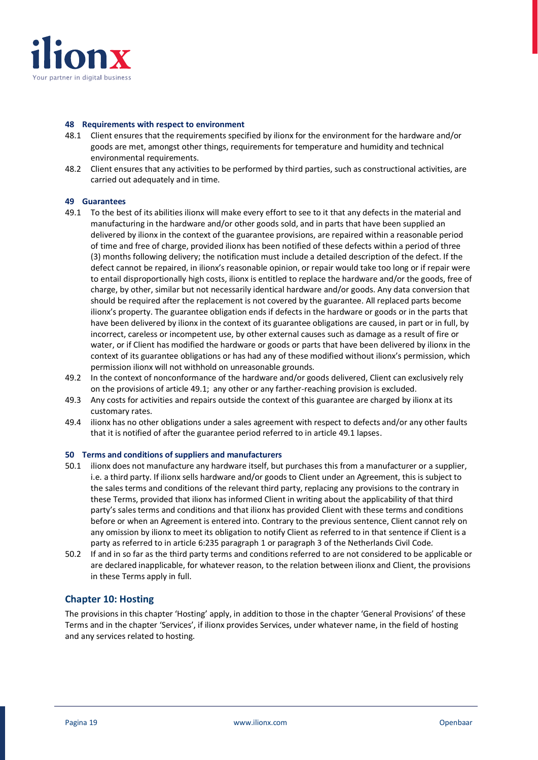![](_page_18_Picture_0.jpeg)

#### **48 Requirements with respect to environment**

- 48.1 Client ensures that the requirements specified by ilionx for the environment for the hardware and/or goods are met, amongst other things, requirements for temperature and humidity and technical environmental requirements.
- 48.2 Client ensures that any activities to be performed by third parties, such as constructional activities, are carried out adequately and in time.

#### **49 Guarantees**

- 49.1 To the best of its abilities ilionx will make every effort to see to it that any defects in the material and manufacturing in the hardware and/or other goods sold, and in parts that have been supplied an delivered by ilionx in the context of the guarantee provisions, are repaired within a reasonable period of time and free of charge, provided ilionx has been notified of these defects within a period of three (3) months following delivery; the notification must include a detailed description of the defect. If the defect cannot be repaired, in ilionx's reasonable opinion, or repair would take too long or if repair were to entail disproportionally high costs, ilionx is entitled to replace the hardware and/or the goods, free of charge, by other, similar but not necessarily identical hardware and/or goods. Any data conversion that should be required after the replacement is not covered by the guarantee. All replaced parts become ilionx's property. The guarantee obligation ends if defects in the hardware or goods or in the parts that have been delivered by ilionx in the context of its guarantee obligations are caused, in part or in full, by incorrect, careless or incompetent use, by other external causes such as damage as a result of fire or water, or if Client has modified the hardware or goods or parts that have been delivered by ilionx in the context of its guarantee obligations or has had any of these modified without ilionx's permission, which permission ilionx will not withhold on unreasonable grounds.
- 49.2 In the context of nonconformance of the hardware and/or goods delivered, Client can exclusively rely on the provisions of article 49.1; any other or any farther-reaching provision is excluded.
- 49.3 Any costs for activities and repairs outside the context of this guarantee are charged by ilionx at its customary rates.
- 49.4 ilionx has no other obligations under a sales agreement with respect to defects and/or any other faults that it is notified of after the guarantee period referred to in article 49.1 lapses.

#### **50 Terms and conditions of suppliers and manufacturers**

- 50.1 ilionx does not manufacture any hardware itself, but purchases this from a manufacturer or a supplier, i.e. a third party. If ilionx sells hardware and/or goods to Client under an Agreement, this is subject to the sales terms and conditions of the relevant third party, replacing any provisions to the contrary in these Terms, provided that ilionx has informed Client in writing about the applicability of that third party's sales terms and conditions and that ilionx has provided Client with these terms and conditions before or when an Agreement is entered into. Contrary to the previous sentence, Client cannot rely on any omission by ilionx to meet its obligation to notify Client as referred to in that sentence if Client is a party as referred to in article 6:235 paragraph 1 or paragraph 3 of the Netherlands Civil Code.
- 50.2 If and in so far as the third party terms and conditions referred to are not considered to be applicable or are declared inapplicable, for whatever reason, to the relation between ilionx and Client, the provisions in these Terms apply in full.

# **Chapter 10: Hosting**

The provisions in this chapter 'Hosting' apply, in addition to those in the chapter 'General Provisions' of these Terms and in the chapter 'Services', if ilionx provides Services, under whatever name, in the field of hosting and any services related to hosting.